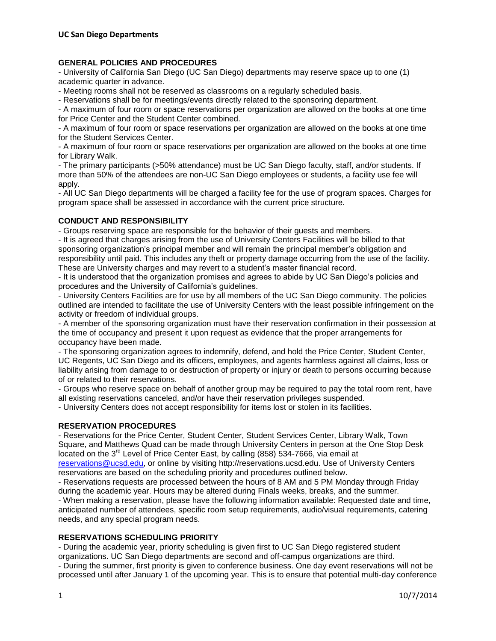## **GENERAL POLICIES AND PROCEDURES**

- University of California San Diego (UC San Diego) departments may reserve space up to one (1) academic quarter in advance.

- Meeting rooms shall not be reserved as classrooms on a regularly scheduled basis.

- Reservations shall be for meetings/events directly related to the sponsoring department.

- A maximum of four room or space reservations per organization are allowed on the books at one time for Price Center and the Student Center combined.

- A maximum of four room or space reservations per organization are allowed on the books at one time for the Student Services Center.

- A maximum of four room or space reservations per organization are allowed on the books at one time for Library Walk.

- The primary participants (>50% attendance) must be UC San Diego faculty, staff, and/or students. If more than 50% of the attendees are non-UC San Diego employees or students, a facility use fee will apply.

- All UC San Diego departments will be charged a facility fee for the use of program spaces. Charges for program space shall be assessed in accordance with the current price structure.

### **CONDUCT AND RESPONSIBILITY**

- Groups reserving space are responsible for the behavior of their guests and members.

- It is agreed that charges arising from the use of University Centers Facilities will be billed to that sponsoring organization's principal member and will remain the principal member's obligation and responsibility until paid. This includes any theft or property damage occurring from the use of the facility. These are University charges and may revert to a student's master financial record.

- It is understood that the organization promises and agrees to abide by UC San Diego's policies and procedures and the University of California's guidelines.

- University Centers Facilities are for use by all members of the UC San Diego community. The policies outlined are intended to facilitate the use of University Centers with the least possible infringement on the activity or freedom of individual groups.

- A member of the sponsoring organization must have their reservation confirmation in their possession at the time of occupancy and present it upon request as evidence that the proper arrangements for occupancy have been made.

- The sponsoring organization agrees to indemnify, defend, and hold the Price Center, Student Center, UC Regents, UC San Diego and its officers, employees, and agents harmless against all claims, loss or liability arising from damage to or destruction of property or injury or death to persons occurring because of or related to their reservations.

- Groups who reserve space on behalf of another group may be required to pay the total room rent, have all existing reservations canceled, and/or have their reservation privileges suspended.

- University Centers does not accept responsibility for items lost or stolen in its facilities.

### **RESERVATION PROCEDURES**

- Reservations for the Price Center, Student Center, Student Services Center, Library Walk, Town Square, and Matthews Quad can be made through University Centers in person at the One Stop Desk located on the  $3<sup>rd</sup>$  Level of Price Center East, by calling (858) 534-7666, via email at

[reservations@ucsd.edu,](mailto:reservations@ucsd.edu) or online by visiting http://reservations.ucsd.edu. Use of University Centers reservations are based on the scheduling priority and procedures outlined below.

- Reservations requests are processed between the hours of 8 AM and 5 PM Monday through Friday during the academic year. Hours may be altered during Finals weeks, breaks, and the summer.

- When making a reservation, please have the following information available: Requested date and time, anticipated number of attendees, specific room setup requirements, audio/visual requirements, catering needs, and any special program needs.

#### **RESERVATIONS SCHEDULING PRIORITY**

- During the academic year, priority scheduling is given first to UC San Diego registered student organizations. UC San Diego departments are second and off-campus organizations are third.

- During the summer, first priority is given to conference business. One day event reservations will not be processed until after January 1 of the upcoming year. This is to ensure that potential multi-day conference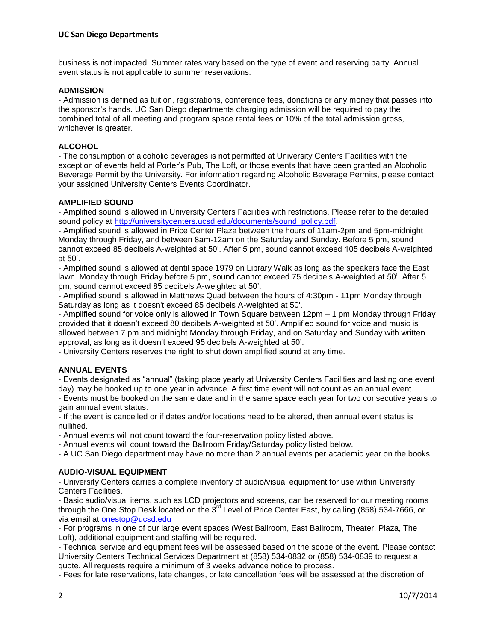business is not impacted. Summer rates vary based on the type of event and reserving party. Annual event status is not applicable to summer reservations.

## **ADMISSION**

- Admission is defined as tuition, registrations, conference fees, donations or any money that passes into the sponsor's hands. UC San Diego departments charging admission will be required to pay the combined total of all meeting and program space rental fees or 10% of the total admission gross, whichever is greater.

## **ALCOHOL**

- The consumption of alcoholic beverages is not permitted at University Centers Facilities with the exception of events held at Porter's Pub, The Loft, or those events that have been granted an Alcoholic Beverage Permit by the University. For information regarding Alcoholic Beverage Permits, please contact your assigned University Centers Events Coordinator.

### **AMPLIFIED SOUND**

- Amplified sound is allowed in University Centers Facilities with restrictions. Please refer to the detailed sound policy at [http://universitycenters.ucsd.edu/documents/sound\\_policy.pdf.](http://universitycenters.ucsd.edu/documents/sound_policy.pdf)

- Amplified sound is allowed in Price Center Plaza between the hours of 11am-2pm and 5pm-midnight Monday through Friday, and between 8am-12am on the Saturday and Sunday. Before 5 pm, sound cannot exceed 85 decibels A-weighted at 50'. After 5 pm, sound cannot exceed 105 decibels A-weighted at 50'.

- Amplified sound is allowed at dentil space 1979 on Library Walk as long as the speakers face the East lawn. Monday through Friday before 5 pm, sound cannot exceed 75 decibels A-weighted at 50'. After 5 pm, sound cannot exceed 85 decibels A-weighted at 50'.

- Amplified sound is allowed in Matthews Quad between the hours of 4:30pm - 11pm Monday through Saturday as long as it doesn't exceed 85 decibels A-weighted at 50'.

- Amplified sound for voice only is allowed in Town Square between 12pm – 1 pm Monday through Friday provided that it doesn't exceed 80 decibels A-weighted at 50'. Amplified sound for voice and music is allowed between 7 pm and midnight Monday through Friday, and on Saturday and Sunday with written approval, as long as it doesn't exceed 95 decibels A-weighted at 50'.

- University Centers reserves the right to shut down amplified sound at any time.

### **ANNUAL EVENTS**

- Events designated as "annual" (taking place yearly at University Centers Facilities and lasting one event day) may be booked up to one year in advance. A first time event will not count as an annual event. - Events must be booked on the same date and in the same space each year for two consecutive years to

gain annual event status. - If the event is cancelled or if dates and/or locations need to be altered, then annual event status is nullified.

- Annual events will not count toward the four-reservation policy listed above.

- Annual events will count toward the Ballroom Friday/Saturday policy listed below.

- A UC San Diego department may have no more than 2 annual events per academic year on the books.

### **AUDIO-VISUAL EQUIPMENT**

- University Centers carries a complete inventory of audio/visual equipment for use within University Centers Facilities.

- Basic audio/visual items, such as LCD projectors and screens, can be reserved for our meeting rooms through the One Stop Desk located on the  $3<sup>rd</sup>$  Level of Price Center East, by calling (858) 534-7666, or via email at [onestop@ucsd.edu](mailto:onestop@ucsd.edu)

- For programs in one of our large event spaces (West Ballroom, East Ballroom, Theater, Plaza, The Loft), additional equipment and staffing will be required.

- Technical service and equipment fees will be assessed based on the scope of the event. Please contact University Centers Technical Services Department at (858) 534-0832 or (858) 534-0839 to request a quote. All requests require a minimum of 3 weeks advance notice to process.

- Fees for late reservations, late changes, or late cancellation fees will be assessed at the discretion of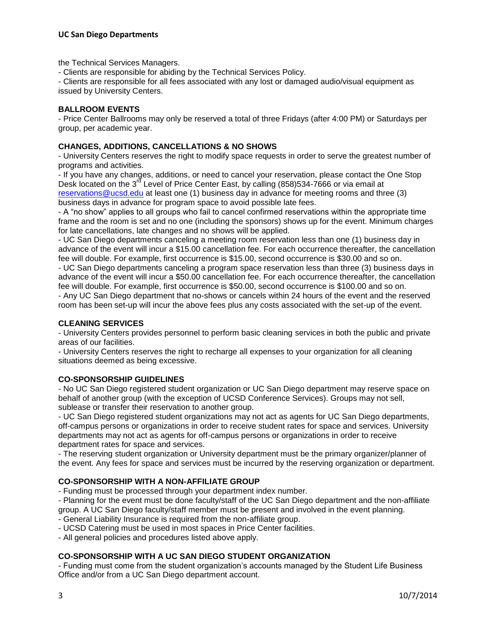the Technical Services Managers.

- Clients are responsible for abiding by the Technical Services Policy.

- Clients are responsible for all fees associated with any lost or damaged audio/visual equipment as issued by University Centers.

## **BALLROOM EVENTS**

- Price Center Ballrooms may only be reserved a total of three Fridays (after 4:00 PM) or Saturdays per group, per academic year.

### **CHANGES, ADDITIONS, CANCELLATIONS & NO SHOWS**

- University Centers reserves the right to modify space requests in order to serve the greatest number of programs and activities.

- If you have any changes, additions, or need to cancel your reservation, please contact the One Stop Desk located on the 3<sup>rd</sup> Level of Price Center East, by calling (858)534-7666 or via email at [reservations@ucsd.edu](mailto:reservations@ucsd.edu) at least one (1) business day in advance for meeting rooms and three (3) business days in advance for program space to avoid possible late fees.

- A "no show" applies to all groups who fail to cancel confirmed reservations within the appropriate time frame and the room is set and no one (including the sponsors) shows up for the event. Minimum charges for late cancellations, late changes and no shows will be applied.

- UC San Diego departments canceling a meeting room reservation less than one (1) business day in advance of the event will incur a \$15.00 cancellation fee. For each occurrence thereafter, the cancellation fee will double. For example, first occurrence is \$15.00, second occurrence is \$30.00 and so on.

- UC San Diego departments canceling a program space reservation less than three (3) business days in advance of the event will incur a \$50.00 cancellation fee. For each occurrence thereafter, the cancellation fee will double. For example, first occurrence is \$50.00, second occurrence is \$100.00 and so on. - Any UC San Diego department that no-shows or cancels within 24 hours of the event and the reserved

room has been set-up will incur the above fees plus any costs associated with the set-up of the event.

### **CLEANING SERVICES**

- University Centers provides personnel to perform basic cleaning services in both the public and private areas of our facilities.

- University Centers reserves the right to recharge all expenses to your organization for all cleaning situations deemed as being excessive.

## **CO-SPONSORSHIP GUIDELINES**

- No UC San Diego registered student organization or UC San Diego department may reserve space on behalf of another group (with the exception of UCSD Conference Services). Groups may not sell, sublease or transfer their reservation to another group.

- UC San Diego registered student organizations may not act as agents for UC San Diego departments, off-campus persons or organizations in order to receive student rates for space and services. University departments may not act as agents for off-campus persons or organizations in order to receive department rates for space and services.

- The reserving student organization or University department must be the primary organizer/planner of the event. Any fees for space and services must be incurred by the reserving organization or department.

# **CO-SPONSORSHIP WITH A NON-AFFILIATE GROUP**

- Funding must be processed through your department index number.

- Planning for the event must be done faculty/staff of the UC San Diego department and the non-affiliate group. A UC San Diego faculty/staff member must be present and involved in the event planning.

- General Liability Insurance is required from the non-affiliate group.

- UCSD Catering must be used in most spaces in Price Center facilities.

- All general policies and procedures listed above apply.

## **CO-SPONSORSHIP WITH A UC SAN DIEGO STUDENT ORGANIZATION**

- Funding must come from the student organization's accounts managed by the Student Life Business Office and/or from a UC San Diego department account.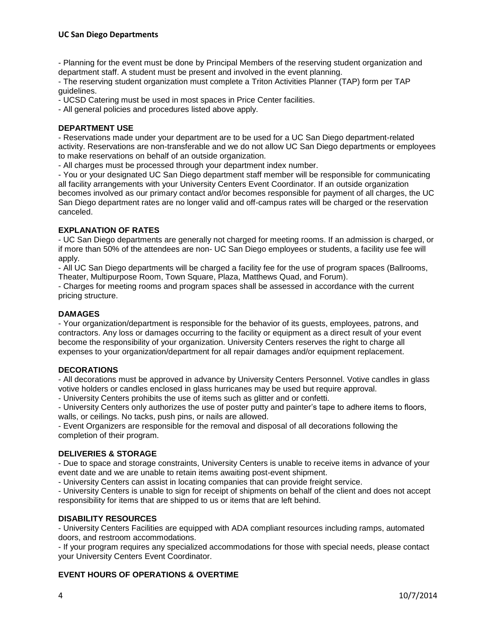- Planning for the event must be done by Principal Members of the reserving student organization and department staff. A student must be present and involved in the event planning.

- The reserving student organization must complete a Triton Activities Planner (TAP) form per TAP guidelines.

- UCSD Catering must be used in most spaces in Price Center facilities.

- All general policies and procedures listed above apply.

## **DEPARTMENT USE**

- Reservations made under your department are to be used for a UC San Diego department-related activity. Reservations are non-transferable and we do not allow UC San Diego departments or employees to make reservations on behalf of an outside organization.

- All charges must be processed through your department index number.

- You or your designated UC San Diego department staff member will be responsible for communicating all facility arrangements with your University Centers Event Coordinator. If an outside organization becomes involved as our primary contact and/or becomes responsible for payment of all charges, the UC San Diego department rates are no longer valid and off-campus rates will be charged or the reservation canceled.

### **EXPLANATION OF RATES**

- UC San Diego departments are generally not charged for meeting rooms. If an admission is charged, or if more than 50% of the attendees are non- UC San Diego employees or students, a facility use fee will apply.

- All UC San Diego departments will be charged a facility fee for the use of program spaces (Ballrooms, Theater, Multipurpose Room, Town Square, Plaza, Matthews Quad, and Forum).

- Charges for meeting rooms and program spaces shall be assessed in accordance with the current pricing structure.

## **DAMAGES**

- Your organization/department is responsible for the behavior of its guests, employees, patrons, and contractors. Any loss or damages occurring to the facility or equipment as a direct result of your event become the responsibility of your organization. University Centers reserves the right to charge all expenses to your organization/department for all repair damages and/or equipment replacement.

### **DECORATIONS**

- All decorations must be approved in advance by University Centers Personnel. Votive candles in glass votive holders or candles enclosed in glass hurricanes may be used but require approval.

- University Centers prohibits the use of items such as glitter and or confetti.

- University Centers only authorizes the use of poster putty and painter's tape to adhere items to floors, walls, or ceilings. No tacks, push pins, or nails are allowed.

- Event Organizers are responsible for the removal and disposal of all decorations following the completion of their program.

## **DELIVERIES & STORAGE**

- Due to space and storage constraints, University Centers is unable to receive items in advance of your event date and we are unable to retain items awaiting post-event shipment.

- University Centers can assist in locating companies that can provide freight service.

- University Centers is unable to sign for receipt of shipments on behalf of the client and does not accept responsibility for items that are shipped to us or items that are left behind.

### **DISABILITY RESOURCES**

- University Centers Facilities are equipped with ADA compliant resources including ramps, automated doors, and restroom accommodations.

- If your program requires any specialized accommodations for those with special needs, please contact your University Centers Event Coordinator.

## **EVENT HOURS OF OPERATIONS & OVERTIME**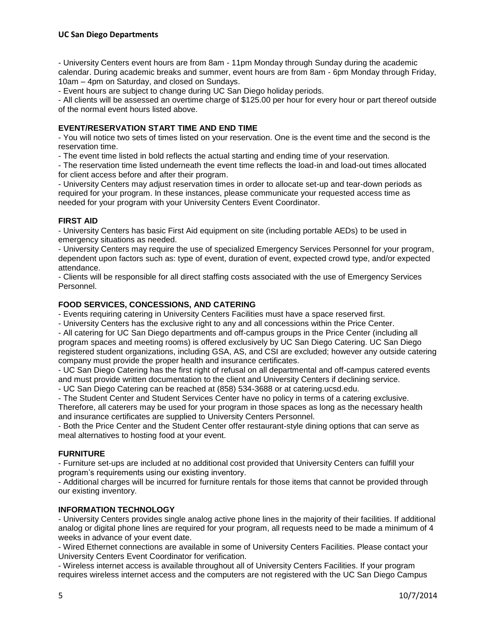### **UC San Diego Departments**

- University Centers event hours are from 8am - 11pm Monday through Sunday during the academic calendar. During academic breaks and summer, event hours are from 8am - 6pm Monday through Friday, 10am – 4pm on Saturday, and closed on Sundays.

- Event hours are subject to change during UC San Diego holiday periods.

- All clients will be assessed an overtime charge of \$125.00 per hour for every hour or part thereof outside of the normal event hours listed above.

### **EVENT/RESERVATION START TIME AND END TIME**

- You will notice two sets of times listed on your reservation. One is the event time and the second is the reservation time.

- The event time listed in bold reflects the actual starting and ending time of your reservation.

- The reservation time listed underneath the event time reflects the load-in and load-out times allocated for client access before and after their program.

- University Centers may adjust reservation times in order to allocate set-up and tear-down periods as required for your program. In these instances, please communicate your requested access time as needed for your program with your University Centers Event Coordinator.

### **FIRST AID**

- University Centers has basic First Aid equipment on site (including portable AEDs) to be used in emergency situations as needed.

- University Centers may require the use of specialized Emergency Services Personnel for your program, dependent upon factors such as: type of event, duration of event, expected crowd type, and/or expected attendance.

- Clients will be responsible for all direct staffing costs associated with the use of Emergency Services Personnel.

### **FOOD SERVICES, CONCESSIONS, AND CATERING**

- Events requiring catering in University Centers Facilities must have a space reserved first.

- University Centers has the exclusive right to any and all concessions within the Price Center.

- All catering for UC San Diego departments and off-campus groups in the Price Center (including all program spaces and meeting rooms) is offered exclusively by UC San Diego Catering. UC San Diego registered student organizations, including GSA, AS, and CSI are excluded; however any outside catering company must provide the proper health and insurance certificates.

- UC San Diego Catering has the first right of refusal on all departmental and off-campus catered events and must provide written documentation to the client and University Centers if declining service.

- UC San Diego Catering can be reached at (858) 534-3688 or at catering.ucsd.edu.

- The Student Center and Student Services Center have no policy in terms of a catering exclusive. Therefore, all caterers may be used for your program in those spaces as long as the necessary health and insurance certificates are supplied to University Centers Personnel.

- Both the Price Center and the Student Center offer restaurant-style dining options that can serve as meal alternatives to hosting food at your event.

### **FURNITURE**

- Furniture set-ups are included at no additional cost provided that University Centers can fulfill your program's requirements using our existing inventory.

- Additional charges will be incurred for furniture rentals for those items that cannot be provided through our existing inventory.

### **INFORMATION TECHNOLOGY**

- University Centers provides single analog active phone lines in the majority of their facilities. If additional analog or digital phone lines are required for your program, all requests need to be made a minimum of 4 weeks in advance of your event date.

- Wired Ethernet connections are available in some of University Centers Facilities. Please contact your University Centers Event Coordinator for verification.

- Wireless internet access is available throughout all of University Centers Facilities. If your program requires wireless internet access and the computers are not registered with the UC San Diego Campus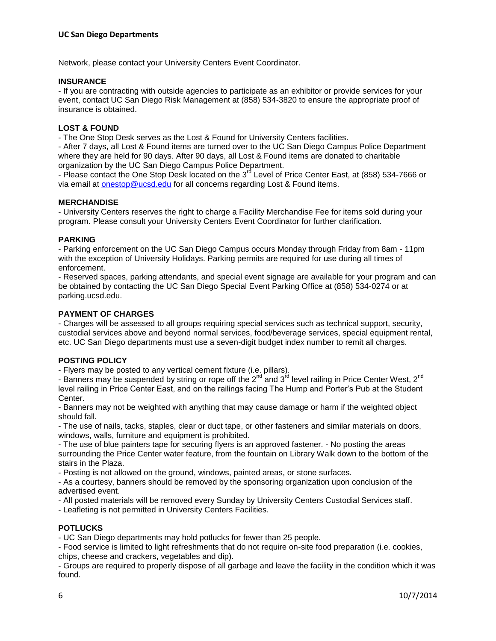Network, please contact your University Centers Event Coordinator.

### **INSURANCE**

- If you are contracting with outside agencies to participate as an exhibitor or provide services for your event, contact UC San Diego Risk Management at (858) 534-3820 to ensure the appropriate proof of insurance is obtained.

## **LOST & FOUND**

- The One Stop Desk serves as the Lost & Found for University Centers facilities.

- After 7 days, all Lost & Found items are turned over to the UC San Diego Campus Police Department where they are held for 90 days. After 90 days, all Lost & Found items are donated to charitable organization by the UC San Diego Campus Police Department.

- Please contact the One Stop Desk located on the 3<sup>rd</sup> Level of Price Center East, at (858) 534-7666 or via email at [onestop@ucsd.edu](mailto:onestop@ucsd.edu) for all concerns regarding Lost & Found items.

### **MERCHANDISE**

- University Centers reserves the right to charge a Facility Merchandise Fee for items sold during your program. Please consult your University Centers Event Coordinator for further clarification.

### **PARKING**

- Parking enforcement on the UC San Diego Campus occurs Monday through Friday from 8am - 11pm with the exception of University Holidays. Parking permits are required for use during all times of enforcement.

- Reserved spaces, parking attendants, and special event signage are available for your program and can be obtained by contacting the UC San Diego Special Event Parking Office at (858) 534-0274 or at parking.ucsd.edu.

## **PAYMENT OF CHARGES**

- Charges will be assessed to all groups requiring special services such as technical support, security, custodial services above and beyond normal services, food/beverage services, special equipment rental, etc. UC San Diego departments must use a seven-digit budget index number to remit all charges.

### **POSTING POLICY**

- Flyers may be posted to any vertical cement fixture (i.e. pillars).

- Banners may be suspended by string or rope off the  $2^{nd}$  and  $3^{rd}$  level railing in Price Center West,  $2^{nd}$ level railing in Price Center East, and on the railings facing The Hump and Porter's Pub at the Student Center.

- Banners may not be weighted with anything that may cause damage or harm if the weighted object should fall.

- The use of nails, tacks, staples, clear or duct tape, or other fasteners and similar materials on doors, windows, walls, furniture and equipment is prohibited.

- The use of blue painters tape for securing flyers is an approved fastener. - No posting the areas surrounding the Price Center water feature, from the fountain on Library Walk down to the bottom of the stairs in the Plaza.

- Posting is not allowed on the ground, windows, painted areas, or stone surfaces.

- As a courtesy, banners should be removed by the sponsoring organization upon conclusion of the advertised event.

- All posted materials will be removed every Sunday by University Centers Custodial Services staff.

- Leafleting is not permitted in University Centers Facilities.

## **POTLUCKS**

- UC San Diego departments may hold potlucks for fewer than 25 people.

- Food service is limited to light refreshments that do not require on-site food preparation (i.e. cookies, chips, cheese and crackers, vegetables and dip).

- Groups are required to properly dispose of all garbage and leave the facility in the condition which it was found.